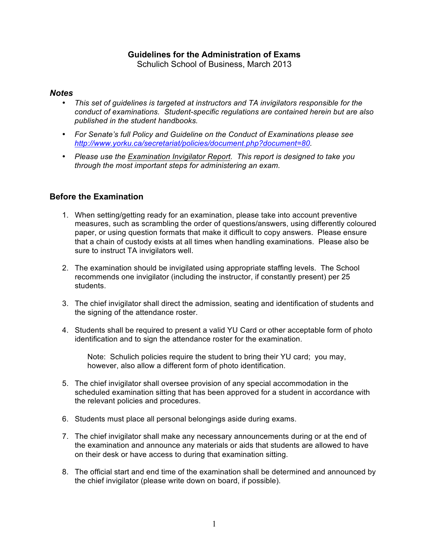# **Guidelines for the Administration of Exams**

Schulich School of Business, March 2013

#### *Notes*

- *This set of guidelines is targeted at instructors and TA invigilators responsible for the conduct of examinations. Student-specific regulations are contained herein but are also published in the student handbooks.*
- *For Senate's full Policy and Guideline on the Conduct of Examinations please see http://www.yorku.ca/secretariat/policies/document.php?document=80.*
- *Please use the Examination Invigilator Report. This report is designed to take you through the most important steps for administering an exam.*

#### **Before the Examination**

- 1. When setting/getting ready for an examination, please take into account preventive measures, such as scrambling the order of questions/answers, using differently coloured paper, or using question formats that make it difficult to copy answers. Please ensure that a chain of custody exists at all times when handling examinations. Please also be sure to instruct TA invigilators well.
- 2. The examination should be invigilated using appropriate staffing levels. The School recommends one invigilator (including the instructor, if constantly present) per 25 students.
- 3. The chief invigilator shall direct the admission, seating and identification of students and the signing of the attendance roster.
- 4. Students shall be required to present a valid YU Card or other acceptable form of photo identification and to sign the attendance roster for the examination.

Note: Schulich policies require the student to bring their YU card; you may, however, also allow a different form of photo identification.

- 5. The chief invigilator shall oversee provision of any special accommodation in the scheduled examination sitting that has been approved for a student in accordance with the relevant policies and procedures.
- 6. Students must place all personal belongings aside during exams.
- 7. The chief invigilator shall make any necessary announcements during or at the end of the examination and announce any materials or aids that students are allowed to have on their desk or have access to during that examination sitting.
- 8. The official start and end time of the examination shall be determined and announced by the chief invigilator (please write down on board, if possible).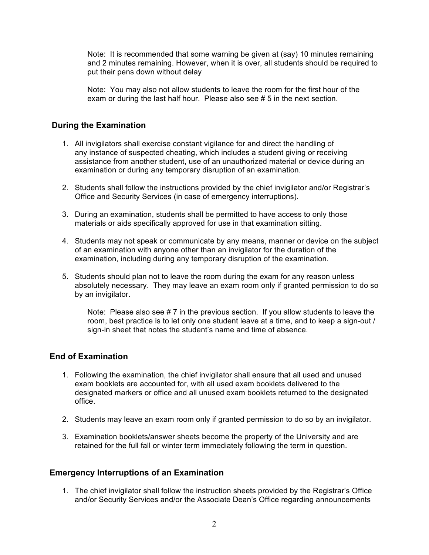Note: It is recommended that some warning be given at (say) 10 minutes remaining and 2 minutes remaining. However, when it is over, all students should be required to put their pens down without delay

Note: You may also not allow students to leave the room for the first hour of the exam or during the last half hour. Please also see # 5 in the next section.

## **During the Examination**

- 1. All invigilators shall exercise constant vigilance for and direct the handling of any instance of suspected cheating, which includes a student giving or receiving assistance from another student, use of an unauthorized material or device during an examination or during any temporary disruption of an examination.
- 2. Students shall follow the instructions provided by the chief invigilator and/or Registrar's Office and Security Services (in case of emergency interruptions).
- 3. During an examination, students shall be permitted to have access to only those materials or aids specifically approved for use in that examination sitting.
- 4. Students may not speak or communicate by any means, manner or device on the subject of an examination with anyone other than an invigilator for the duration of the examination, including during any temporary disruption of the examination.
- 5. Students should plan not to leave the room during the exam for any reason unless absolutely necessary. They may leave an exam room only if granted permission to do so by an invigilator.

Note: Please also see # 7 in the previous section. If you allow students to leave the room, best practice is to let only one student leave at a time, and to keep a sign-out / sign-in sheet that notes the student's name and time of absence.

## **End of Examination**

- 1. Following the examination, the chief invigilator shall ensure that all used and unused exam booklets are accounted for, with all used exam booklets delivered to the designated markers or office and all unused exam booklets returned to the designated office.
- 2. Students may leave an exam room only if granted permission to do so by an invigilator.
- 3. Examination booklets/answer sheets become the property of the University and are retained for the full fall or winter term immediately following the term in question.

## **Emergency Interruptions of an Examination**

1. The chief invigilator shall follow the instruction sheets provided by the Registrar's Office and/or Security Services and/or the Associate Dean's Office regarding announcements